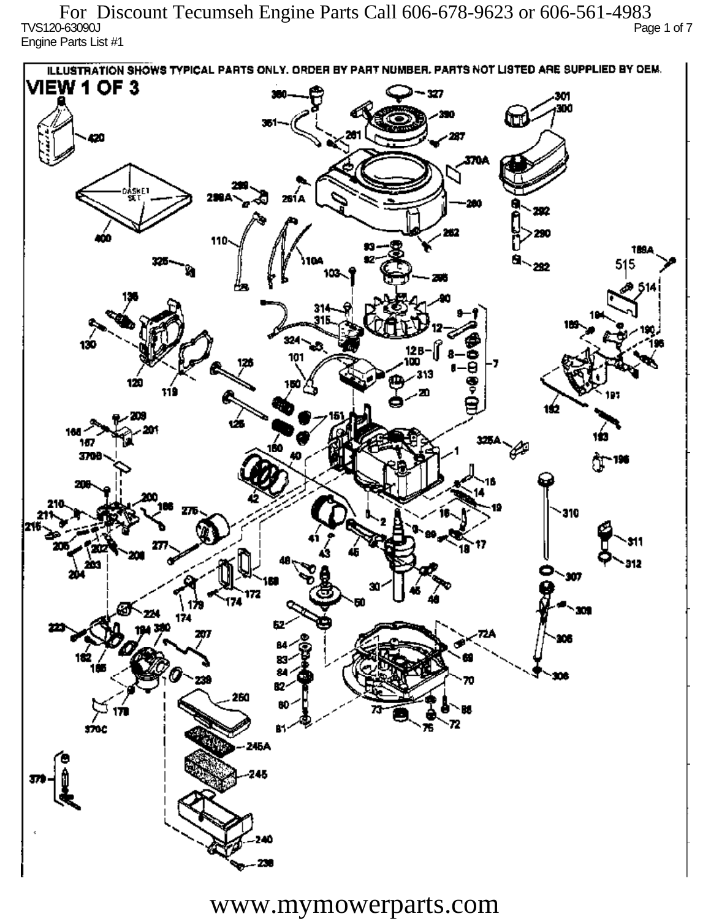TVS120-63090J Page 1 of 7 Engine Parts List #1 For Discount Tecumseh Engine Parts Call 606-678-9623 or 606-561-4983

ILLUSTRATION SHOWS TYPICAL PARTS ONLY. ORDER BY PART NUMBER, PARTS NOT LISTED ARE SUPPLIED BY OEM. **VIEW 1 OF 3** - 327 301 300 20 370A iskF1 261 A ж 292 290 110 1894 515 292 324 130 12 R 101 313 120 دھر 1ś2 ÚБ 160 167 160 P 3709 196 77 310 912 201 Ô,  $\mathbf{m}$ 172 174 174 182 ÷. ß2 260 72 sioc 76 81 245A 245 40

www.mymowerparts.com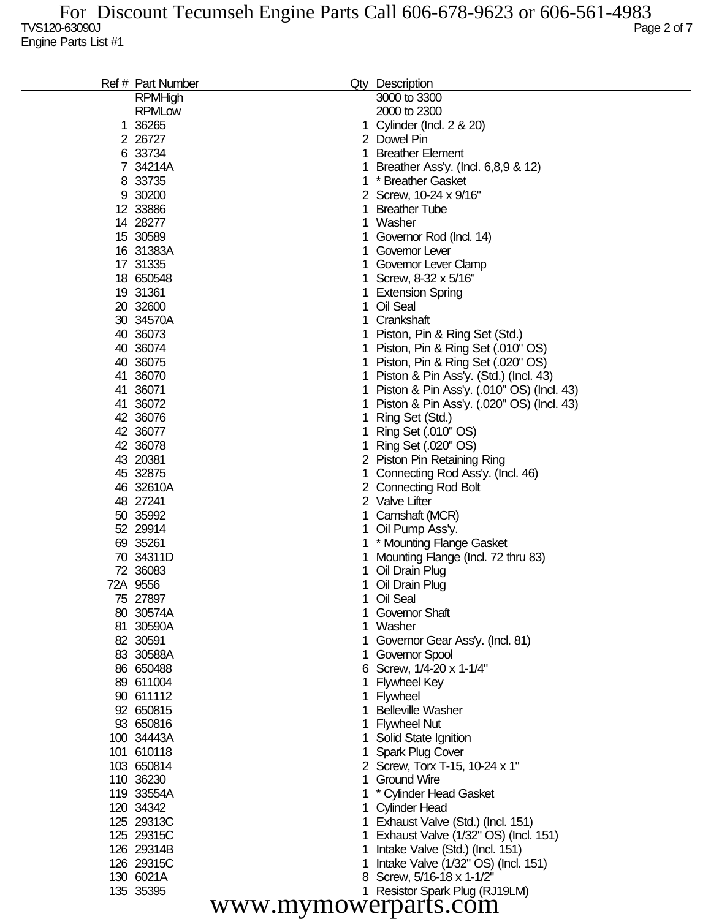|                      | Ref # Part Number |   | Qty Description                           |  |  |
|----------------------|-------------------|---|-------------------------------------------|--|--|
|                      | <b>RPMHigh</b>    |   | 3000 to 3300                              |  |  |
|                      | <b>RPMLow</b>     |   | 2000 to 2300                              |  |  |
|                      | 1 36265           |   | Cylinder (Incl. 2 & 20)                   |  |  |
|                      | 2 26727           |   | 2 Dowel Pin                               |  |  |
|                      | 6 33734           |   | <b>Breather Element</b>                   |  |  |
|                      | 7 34214A          |   | Breather Ass'y. (Incl. 6,8,9 & 12)        |  |  |
|                      | 8 33735           |   | * Breather Gasket                         |  |  |
|                      | 9 30200           | 2 | Screw, 10-24 x 9/16"                      |  |  |
|                      | 12 33886          |   | <b>Breather Tube</b>                      |  |  |
|                      | 14 28277          |   | Washer                                    |  |  |
|                      | 15 30589          |   | Governor Rod (Incl. 14)                   |  |  |
|                      | 16 31383A         |   | Governor Lever                            |  |  |
|                      | 17 31335          |   | Governor Lever Clamp                      |  |  |
|                      | 18 650548         |   | Screw, 8-32 x 5/16"                       |  |  |
|                      | 19 31361          |   | <b>Extension Spring</b>                   |  |  |
|                      | 20 32600          |   | Oil Seal                                  |  |  |
|                      | 30 34570A         |   | Crankshaft                                |  |  |
|                      |                   |   |                                           |  |  |
|                      | 40 36073          |   | Piston, Pin & Ring Set (Std.)             |  |  |
|                      | 40 36074          |   | Piston, Pin & Ring Set (.010" OS)         |  |  |
|                      | 40 36075          |   | Piston, Pin & Ring Set (.020" OS)         |  |  |
|                      | 41 36070          |   | Piston & Pin Ass'y. (Std.) (Incl. 43)     |  |  |
|                      | 41 36071          |   | Piston & Pin Ass'y. (.010" OS) (Incl. 43) |  |  |
|                      | 41 36072          |   | Piston & Pin Ass'y. (.020" OS) (Incl. 43) |  |  |
|                      | 42 36076          |   | Ring Set (Std.)                           |  |  |
|                      | 42 36077          |   | Ring Set (.010" OS)                       |  |  |
|                      | 42 36078          |   | Ring Set (.020" OS)                       |  |  |
|                      | 43 20381          | 2 | Piston Pin Retaining Ring                 |  |  |
|                      | 45 32875          |   | Connecting Rod Ass'y. (Incl. 46)          |  |  |
|                      | 46 32610A         | 2 | <b>Connecting Rod Bolt</b>                |  |  |
|                      | 48 27241          |   | 2 Valve Lifter                            |  |  |
|                      | 50 35992          |   | Camshaft (MCR)                            |  |  |
|                      | 52 29914          |   | Oil Pump Ass'y.                           |  |  |
|                      | 69 35261          |   | * Mounting Flange Gasket                  |  |  |
|                      | 70 34311D         |   | Mounting Flange (Incl. 72 thru 83)        |  |  |
|                      | 72 36083          |   | Oil Drain Plug                            |  |  |
|                      | 72A 9556          |   | Oil Drain Plug                            |  |  |
|                      | 75 27897          |   | Oil Seal                                  |  |  |
|                      | 80 30574A         |   | Governor Shaft                            |  |  |
|                      | 81 30590A         |   | Washer                                    |  |  |
|                      | 82 30591          |   | Governor Gear Ass'y. (Incl. 81)           |  |  |
|                      | 83 30588A         |   | Governor Spool                            |  |  |
|                      | 86 650488         |   | 6 Screw, 1/4-20 x 1-1/4"                  |  |  |
|                      | 89 611004         |   | <b>Flywheel Key</b>                       |  |  |
|                      | 90 611112         |   | Flywheel                                  |  |  |
|                      | 92 650815         |   | <b>Belleville Washer</b>                  |  |  |
|                      | 93 650816         |   | <b>Flywheel Nut</b>                       |  |  |
|                      | 100 34443A        |   | Solid State Ignition                      |  |  |
|                      | 101 610118        |   | <b>Spark Plug Cover</b>                   |  |  |
|                      | 103 650814        |   | 2 Screw, Torx T-15, 10-24 x 1"            |  |  |
|                      |                   |   | <b>Ground Wire</b>                        |  |  |
|                      | 110 36230         |   |                                           |  |  |
|                      | 119 33554A        |   | * Cylinder Head Gasket                    |  |  |
|                      | 120 34342         |   | <b>Cylinder Head</b>                      |  |  |
|                      | 125 29313C        |   | Exhaust Valve (Std.) (Incl. 151)          |  |  |
|                      | 125 29315C        |   | Exhaust Valve (1/32" OS) (Incl. 151)      |  |  |
|                      | 126 29314B        |   | Intake Valve (Std.) (Incl. 151)           |  |  |
|                      | 126 29315C        |   | Intake Valve (1/32" OS) (Incl. 151)       |  |  |
|                      | 130 6021A         |   | Screw, 5/16-18 x 1-1/2"                   |  |  |
|                      | 135 35395         |   | Resistor Spark Plug (RJ19LM)              |  |  |
| www.mymowerparts.com |                   |   |                                           |  |  |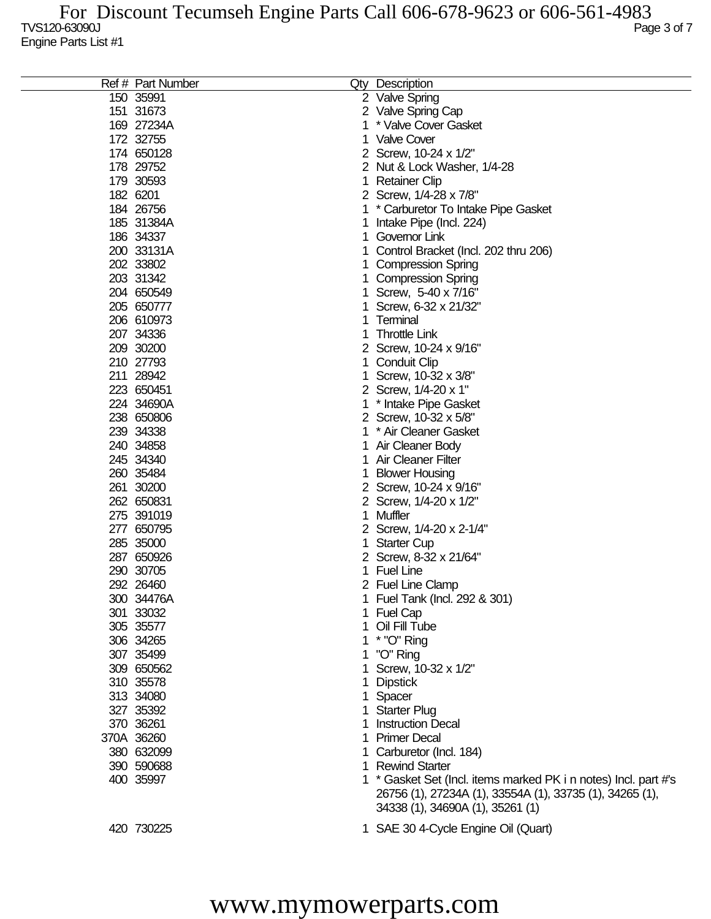| Ref # Part Number |    | Qty Description                                                 |
|-------------------|----|-----------------------------------------------------------------|
|                   |    |                                                                 |
| 150 35991         |    | 2 Valve Spring                                                  |
| 151 31673         |    | 2 Valve Spring Cap                                              |
| 169 27234A        | 1  | * Valve Cover Gasket                                            |
| 172 32755         | 1. | <b>Valve Cover</b>                                              |
| 174 650128        |    | 2 Screw, 10-24 x 1/2"                                           |
| 178 29752         |    | 2 Nut & Lock Washer, 1/4-28                                     |
| 179 30593         | 1  | <b>Retainer Clip</b>                                            |
| 182 6201          |    | 2 Screw, 1/4-28 x 7/8"                                          |
| 184 26756         | 1  | * Carburetor To Intake Pipe Gasket                              |
| 185 31384A        | 1  | Intake Pipe (Incl. 224)                                         |
| 186 34337         | 1  | Governor Link                                                   |
| 200 33131A        | 1. | Control Bracket (Incl. 202 thru 206)                            |
| 202 33802         |    | <b>Compression Spring</b>                                       |
| 203 31342         |    | <b>Compression Spring</b>                                       |
| 204 650549        | 1  | Screw, 5-40 x 7/16"                                             |
|                   |    |                                                                 |
| 205 650777        | 1  | Screw, 6-32 x 21/32"                                            |
| 206 610973        | 1  | Terminal                                                        |
| 207 34336         | 1  | <b>Throttle Link</b>                                            |
| 209 30200         |    | 2 Screw, 10-24 x 9/16"                                          |
| 210 27793         | 1  | <b>Conduit Clip</b>                                             |
| 211 28942         | 1  | Screw, 10-32 x 3/8"                                             |
| 223 650451        |    | 2 Screw, 1/4-20 x 1"                                            |
| 224 34690A        | 1  | * Intake Pipe Gasket                                            |
| 238 650806        |    | 2 Screw, 10-32 x 5/8"                                           |
| 239 34338         | 1. | * Air Cleaner Gasket                                            |
| 240 34858         | 1  | Air Cleaner Body                                                |
| 245 34340         | 1. | <b>Air Cleaner Filter</b>                                       |
| 260 35484         | 1  | <b>Blower Housing</b>                                           |
| 261 30200         |    | 2 Screw, 10-24 x 9/16"                                          |
| 262 650831        |    | 2 Screw, 1/4-20 x 1/2"                                          |
|                   |    | Muffler                                                         |
| 275 391019        | 1  |                                                                 |
| 277 650795        |    | 2 Screw, 1/4-20 x 2-1/4"                                        |
| 285 35000         | 1  | <b>Starter Cup</b>                                              |
| 287 650926        |    | 2 Screw, 8-32 x 21/64"                                          |
| 290 30705         | 1  | <b>Fuel Line</b>                                                |
| 292 26460         |    | 2 Fuel Line Clamp                                               |
| 300 34476A        | 1  | Fuel Tank (Incl. 292 & 301)                                     |
| 301 33032         | 1. | <b>Fuel Cap</b>                                                 |
| 305 35577         |    | Oil Fill Tube                                                   |
| 306 34265         |    | * "O" Ring                                                      |
| 307 35499         |    | "O" Ring                                                        |
| 309 650562        |    | Screw, 10-32 x 1/2"                                             |
| 310 35578         | 1  | <b>Dipstick</b>                                                 |
| 313 34080         | 1. | Spacer                                                          |
| 327 35392         | 1. | <b>Starter Plug</b>                                             |
| 370 36261         | 1  | <b>Instruction Decal</b>                                        |
|                   |    | <b>Primer Decal</b>                                             |
| 370A 36260        | 1. |                                                                 |
| 380 632099        | 1. | Carburetor (Incl. 184)                                          |
| 390 590688        | 1. | <b>Rewind Starter</b>                                           |
| 400 35997         |    | 1 * Gasket Set (Incl. items marked PK i n notes) Incl. part #'s |
|                   |    | 26756 (1), 27234A (1), 33554A (1), 33735 (1), 34265 (1),        |
|                   |    | 34338 (1), 34690A (1), 35261 (1)                                |
| 420 730225        |    | 1 SAE 30 4-Cycle Engine Oil (Quart)                             |

## www.mymowerparts.com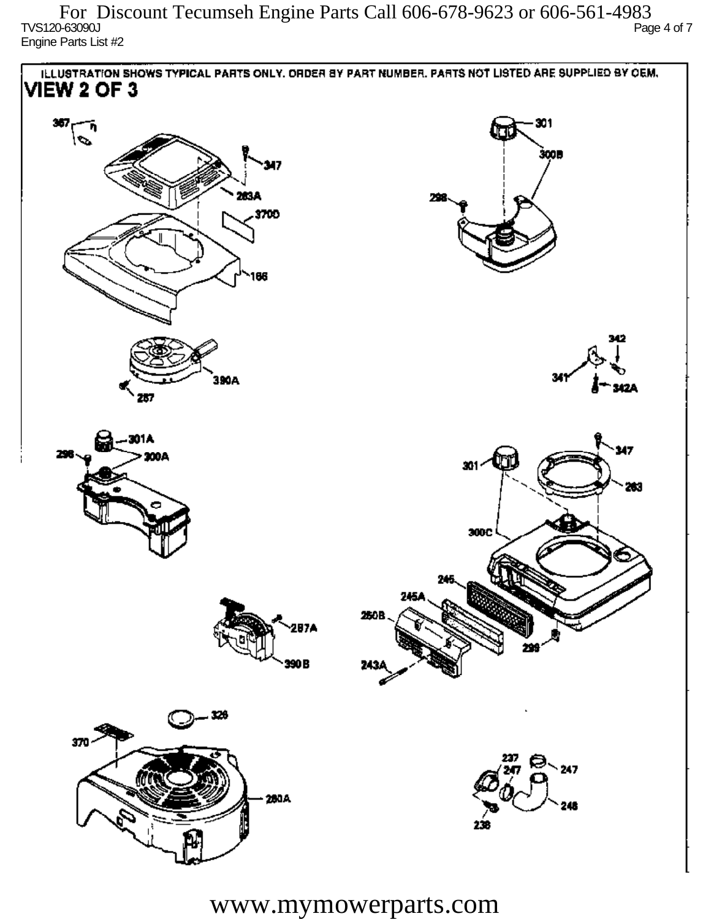TVS120-63090J Page 4 of 7 Engine Parts List #2 For Discount Tecumseh Engine Parts Call 606-678-9623 or 606-561-4983



www.mymowerparts.com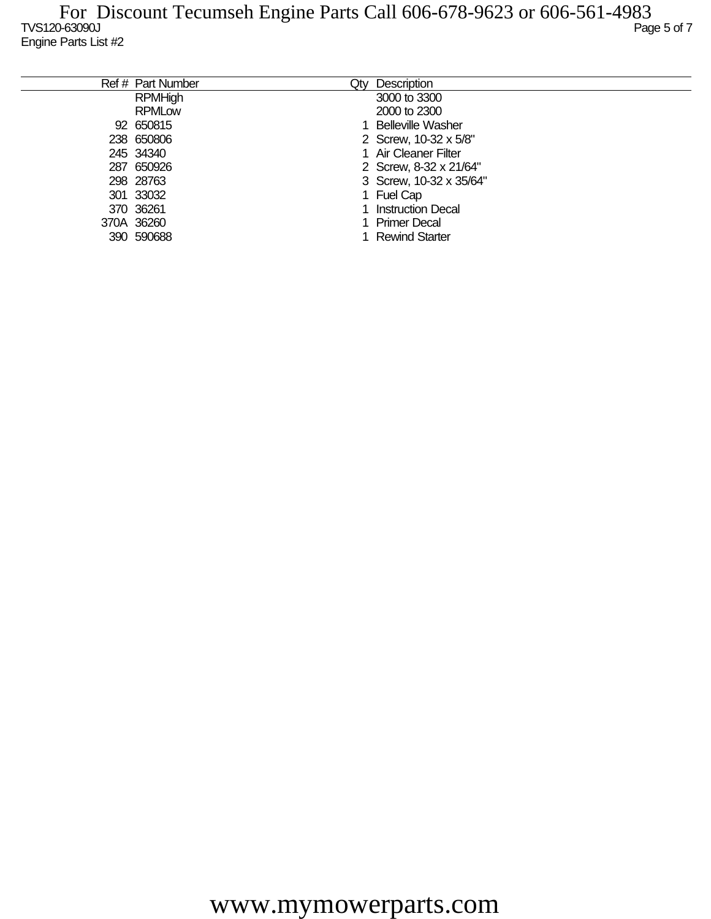| Ref # Part Number | Qtv | Description              |
|-------------------|-----|--------------------------|
| <b>RPMHigh</b>    |     | 3000 to 3300             |
| <b>RPMLow</b>     |     | 2000 to 2300             |
| 92 650815         |     | <b>Belleville Washer</b> |
| 238 650806        |     | 2 Screw, 10-32 x 5/8"    |
| 245 34340         |     | 1 Air Cleaner Filter     |
| 287 650926        |     | 2 Screw, 8-32 x 21/64"   |
| 298 28763         |     | 3 Screw, 10-32 x 35/64"  |
| 301 33032         |     | 1 Fuel Cap               |
| 370 36261         |     | <b>Instruction Decal</b> |
| 370A 36260        |     | Primer Decal             |
| 390 590688        |     | <b>Rewind Starter</b>    |
|                   |     |                          |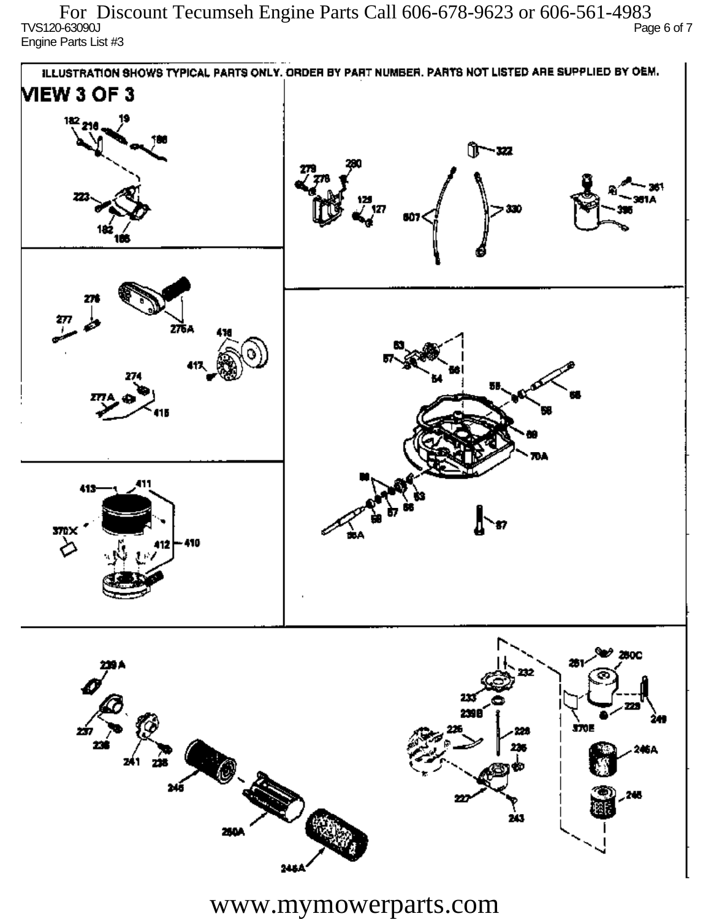TVS120-63090J Page 6 of 7 Engine Parts List #3 For Discount Tecumseh Engine Parts Call 606-678-9623 or 606-561-4983



www.mymowerparts.com